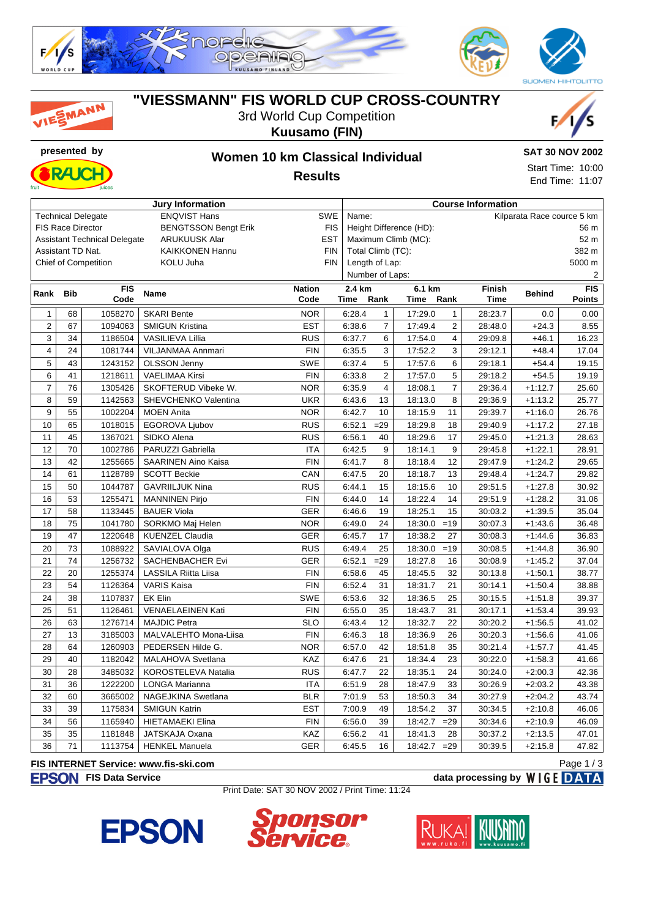





MANN

### **"VIESSMANN" FIS WORLD CUP CROSS-COUNTRY** 3rd World Cup Competition

**Kuusamo (FIN)**





Start Time: 10:00 End Time: 11:07

**Results**

| <b>Jury Information</b>                                                   |            |            |                            |               |                            | <b>Course Information</b>           |                |         |                |                                |           |               |
|---------------------------------------------------------------------------|------------|------------|----------------------------|---------------|----------------------------|-------------------------------------|----------------|---------|----------------|--------------------------------|-----------|---------------|
| <b>ENQVIST Hans</b><br><b>Technical Delegate</b><br><b>SWE</b>            |            |            |                            |               |                            | Kilparata Race cource 5 km<br>Name: |                |         |                |                                |           |               |
| <b>FIS Race Director</b><br><b>BENGTSSON Bengt Erik</b><br><b>FIS</b>     |            |            |                            |               |                            | Height Difference (HD):<br>56 m     |                |         |                |                                |           |               |
| <b>ARUKUUSK Alar</b><br><b>EST</b><br><b>Assistant Technical Delegate</b> |            |            |                            |               |                            | Maximum Climb (MC):<br>52 m         |                |         |                |                                |           |               |
| Assistant TD Nat.<br><b>KAIKKONEN Hannu</b><br><b>FIN</b>                 |            |            |                            |               | 382 m<br>Total Climb (TC): |                                     |                |         |                |                                |           |               |
| KOLU Juha<br><b>FIN</b><br><b>Chief of Competition</b>                    |            |            |                            |               |                            | Length of Lap:<br>5000 m            |                |         |                |                                |           |               |
|                                                                           |            |            |                            |               |                            | Number of Laps:                     |                |         |                |                                |           | 2             |
| Rank                                                                      | <b>Bib</b> | <b>FIS</b> | Name                       | <b>Nation</b> |                            | 2.4 km                              |                | 6.1 km  |                | <b>Finish</b><br><b>Behind</b> |           |               |
|                                                                           |            | Code       |                            | Code          |                            | <b>Time</b>                         | Rank           | Time    | Rank           | <b>Time</b>                    |           | <b>Points</b> |
| $\mathbf{1}$                                                              | 68         | 1058270    | <b>SKARI Bente</b>         | <b>NOR</b>    |                            | 6:28.4                              | $\mathbf{1}$   | 17:29.0 | $\mathbf{1}$   | 28:23.7                        | 0.0       | $0.00\,$      |
| $\overline{\mathbf{c}}$                                                   | 67         | 1094063    | <b>SMIGUN Kristina</b>     | <b>EST</b>    |                            | 6:38.6                              | $\overline{7}$ | 17:49.4 | $\sqrt{2}$     | 28:48.0                        | $+24.3$   | 8.55          |
| 3                                                                         | 34         | 1186504    | <b>VASILIEVA Lillia</b>    | <b>RUS</b>    |                            | 6:37.7                              | 6              | 17:54.0 | $\overline{4}$ | 29:09.8                        | $+46.1$   | 16.23         |
| 4                                                                         | 24         | 1081744    | VILJANMAA Annmari          | <b>FIN</b>    |                            | 6:35.5                              | 3              | 17:52.2 | 3              | 29:12.1                        | $+48.4$   | 17.04         |
| 5                                                                         | 43         | 1243152    | <b>OLSSON Jenny</b>        | <b>SWE</b>    |                            | 6:37.4                              | 5              | 17:57.6 | 6              | 29:18.1                        | $+54.4$   | 19.15         |
| 6                                                                         | 41         | 1218611    | <b>VAELIMAA Kirsi</b>      | <b>FIN</b>    |                            | 6:33.8                              | $\overline{c}$ | 17:57.0 | $\sqrt{5}$     | 29:18.2                        | $+54.5$   | 19.19         |
| $\overline{7}$                                                            | 76         | 1305426    | SKOFTERUD Vibeke W.        | <b>NOR</b>    |                            | 6:35.9                              | $\overline{4}$ | 18:08.1 | $\overline{7}$ | 29:36.4                        | $+1:12.7$ | 25.60         |
| 8                                                                         | 59         | 1142563    | SHEVCHENKO Valentina       | <b>UKR</b>    |                            | 6:43.6                              | 13             | 18:13.0 | 8              | 29:36.9                        | $+1:13.2$ | 25.77         |
| 9                                                                         | 55         | 1002204    | <b>MOEN Anita</b>          | <b>NOR</b>    |                            | 6:42.7                              | 10             | 18:15.9 | 11             | 29:39.7                        | $+1:16.0$ | 26.76         |
| 10                                                                        | 65         | 1018015    | EGOROVA Ljubov             | <b>RUS</b>    |                            | 6:52.1                              | $= 29$         | 18:29.8 | 18             | 29:40.9                        | $+1:17.2$ | 27.18         |
| 11                                                                        | 45         | 1367021    | SIDKO Alena                | <b>RUS</b>    |                            | 6:56.1                              | 40             | 18:29.6 | 17             | 29:45.0                        | $+1:21.3$ | 28.63         |
| 12                                                                        | 70         | 1002786    | PARUZZI Gabriella          | <b>ITA</b>    |                            | 6:42.5                              | 9              | 18:14.1 | 9              | 29:45.8                        | $+1:22.1$ | 28.91         |
| 13                                                                        | 42         | 1255665    | <b>SAARINEN Aino Kaisa</b> | <b>FIN</b>    |                            | 6:41.7                              | 8              | 18:18.4 | 12             | 29:47.9                        | $+1:24.2$ | 29.65         |
| 14                                                                        | 61         | 1128789    | <b>SCOTT Beckie</b>        | CAN           |                            | 6:47.5                              | 20             | 18:18.7 | 13             | 29:48.4                        | $+1:24.7$ | 29.82         |
| 15                                                                        | 50         | 1044787    | <b>GAVRIILJUK Nina</b>     | <b>RUS</b>    |                            | 6:44.1                              | 15             | 18:15.6 | 10             | 29:51.5                        | $+1:27.8$ | 30.92         |
| 16                                                                        | 53         | 1255471    | <b>MANNINEN Pirjo</b>      | <b>FIN</b>    |                            | 6:44.0                              | 14             | 18:22.4 | 14             | 29:51.9                        | $+1:28.2$ | 31.06         |
| 17                                                                        | 58         | 1133445    | <b>BAUER Viola</b>         | <b>GER</b>    |                            | 6:46.6                              | 19             | 18:25.1 | 15             | 30:03.2                        | $+1:39.5$ | 35.04         |
| 18                                                                        | 75         | 1041780    | SORKMO Maj Helen           | <b>NOR</b>    |                            | 6:49.0                              | 24             | 18:30.0 | $=19$          | 30:07.3                        | $+1:43.6$ | 36.48         |
| 19                                                                        | 47         | 1220648    | <b>KUENZEL Claudia</b>     | <b>GER</b>    |                            | 6:45.7                              | 17             | 18:38.2 | 27             | 30:08.3                        | $+1:44.6$ | 36.83         |
| 20                                                                        | 73         | 1088922    | SAVIALOVA Olga             | <b>RUS</b>    |                            | 6:49.4                              | 25             | 18:30.0 | $=19$          | 30:08.5                        | $+1:44.8$ | 36.90         |
| 21                                                                        | 74         | 1256732    | SACHENBACHER Evi           | <b>GER</b>    |                            | 6:52.1                              | $=29$          | 18:27.8 | 16             | 30:08.9                        | $+1:45.2$ | 37.04         |
| 22                                                                        | 20         | 1255374    | LASSILA Riitta Liisa       | <b>FIN</b>    |                            | 6:58.6                              | 45             | 18:45.5 | 32             | 30:13.8                        | $+1:50.1$ | 38.77         |
| 23                                                                        | 54         | 1126364    | <b>VARIS Kaisa</b>         | <b>FIN</b>    |                            | 6:52.4                              | 31             | 18:31.7 | 21             | 30:14.1                        | $+1:50.4$ | 38.88         |
| 24                                                                        | 38         | 1107837    | <b>EK Elin</b>             | <b>SWE</b>    |                            | 6:53.6                              | 32             | 18:36.5 | 25             | 30:15.5                        | $+1:51.8$ | 39.37         |
| 25                                                                        | 51         | 1126461    | VENAELAEINEN Kati          | <b>FIN</b>    |                            | 6:55.0                              | 35             | 18:43.7 | 31             | 30:17.1                        | $+1:53.4$ | 39.93         |
| 26                                                                        | 63         | 1276714    | <b>MAJDIC Petra</b>        | <b>SLO</b>    |                            | 6:43.4                              | 12             | 18:32.7 | 22             | 30:20.2                        | $+1:56.5$ | 41.02         |
| 27                                                                        | 13         | 3185003    | MALVALEHTO Mona-Liisa      | <b>FIN</b>    |                            | 6:46.3                              | 18             | 18:36.9 | 26             | 30:20.3                        | $+1:56.6$ | 41.06         |
| 28                                                                        | 64         | 1260903    | PEDERSEN Hilde G.          | <b>NOR</b>    |                            | 6:57.0                              | 42             | 18:51.8 | 35             | 30:21.4                        | $+1:57.7$ | 41.45         |
| 29                                                                        | 40         | 1182042    | MALAHOVA Svetlana          | KAZ           |                            | 6:47.6                              | 21             | 18:34.4 | 23             | 30:22.0                        | $+1:58.3$ | 41.66         |
| 30                                                                        | 28         | 3485032    | KOROSTELEVA Natalia        | <b>RUS</b>    |                            | 6:47.7                              | 22             | 18:35.1 | 24             | 30:24.0                        | $+2:00.3$ | 42.36         |
| 31                                                                        | 36         | 1222200    | <b>LONGA Marianna</b>      | <b>ITA</b>    |                            | 6:51.9                              | 28             | 18:47.9 | 33             | 30:26.9                        | $+2:03.2$ | 43.38         |
| 32                                                                        | 60         | 3665002    | NAGEJKINA Swetlana         | <b>BLR</b>    |                            | 7:01.9                              | 53             | 18:50.3 | 34             | 30:27.9                        | $+2:04.2$ | 43.74         |
| 33                                                                        | 39         | 1175834    | <b>SMIGUN Katrin</b>       | <b>EST</b>    |                            | 7:00.9                              | 49             | 18:54.2 | 37             | 30:34.5                        | $+2:10.8$ | 46.06         |
| 34                                                                        | 56         | 1165940    | <b>HIETAMAEKI Elina</b>    | <b>FIN</b>    |                            | 6:56.0                              | 39             | 18:42.7 | $=29$          | 30:34.6                        | $+2:10.9$ | 46.09         |
| 35                                                                        | 35         | 1181848    | JATSKAJA Oxana             | KAZ           |                            | 6:56.2                              | 41             | 18:41.3 | 28             | 30:37.2                        | $+2:13.5$ | 47.01         |
| 36                                                                        | 71         | 1113754    | <b>HENKEL Manuela</b>      | <b>GER</b>    |                            | 6:45.5                              | 16             | 18:42.7 | $=29$          | 30:39.5                        | $+2:15.8$ | 47.82         |

### **FIS INTERNET Service: www.fis-ski.com**

**FIS Data Service data processing by**  $W \mid G E$  **DATA** 

Print Date: SAT 30 NOV 2002 / Print Time: 11:24







Page 1 / 3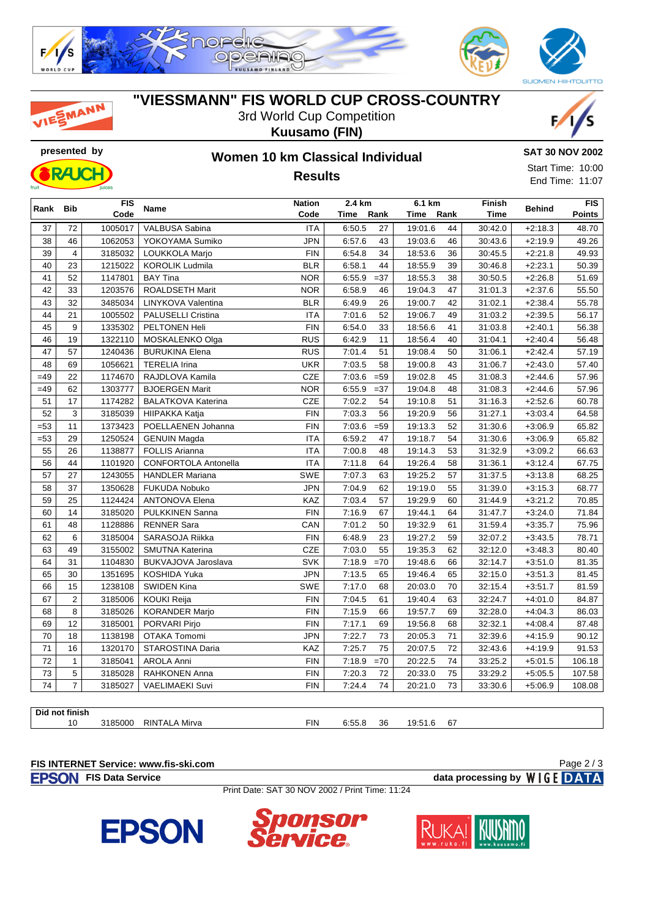

# MANN

## **"VIESSMANN" FIS WORLD CUP CROSS-COUNTRY**

3rd World Cup Competition





# **Kuusamo (FIN)**

**Results**



Start Time: 10:00 End Time: 11:07

| Rank Bib<br>Code<br>Rank<br>Rank<br><b>Time</b><br>Time<br>Time<br>6:50.5<br>27<br>19:01.6<br>44<br>37<br>72<br>1005017<br>VALBUSA Sabina<br><b>ITA</b><br>30:42.0<br>$+2:18.3$<br>48.70<br><b>JPN</b><br>46<br>1062053<br>YOKOYAMA Sumiko<br>43<br>19:03.6<br>46<br>49.26<br>38<br>6:57.6<br>30:43.6<br>$+2:19.9$<br>39<br>$\overline{4}$<br>3185032<br><b>FIN</b><br>6:54.8<br>34<br>18:53.6<br>49.93<br>LOUKKOLA Marjo<br>36<br>30:45.5<br>$+2:21.8$<br>40<br>23<br>1215022<br><b>KOROLIK Ludmila</b><br><b>BLR</b><br>6:58.1<br>44<br>18:55.9<br>39<br>30:46.8<br>$+2:23.1$<br>50.39<br>41<br>52<br>1147801<br><b>BAY Tina</b><br><b>NOR</b><br>6:55.9<br>$=37$<br>18:55.3<br>38<br>$+2:26.8$<br>51.69<br>30:50.5<br>33<br>42<br>1203576<br>ROALDSETH Marit<br><b>NOR</b><br>6:58.9<br>19:04.3<br>47<br>55.50<br>46<br>31:01.3<br>$+2:37.6$<br>43<br>32<br>3485034<br><b>BLR</b><br>26<br>19:00.7<br>42<br>31:02.1<br>LINYKOVA Valentina<br>6:49.9<br>$+2:38.4$<br>55.78<br>44<br>21<br>1005502<br>52<br>19:06.7<br>49<br>31:03.2<br>$+2:39.5$<br>PALUSELLI Cristina<br><b>ITA</b><br>7:01.6<br>56.17<br>45<br>9<br>1335302<br><b>FIN</b><br>6:54.0<br>PELTONEN Heli<br>33<br>18:56.6<br>41<br>31:03.8<br>$+2:40.1$<br>56.38<br>46<br>19<br>1322110<br>MOSKALENKO Olga<br><b>RUS</b><br>6:42.9<br>18:56.4<br>31:04.1<br>$+2:40.4$<br>11<br>40<br>56.48<br>47<br>57<br><b>RUS</b><br>51<br>1240436<br><b>BURUKINA Elena</b><br>7:01.4<br>19:08.4<br>50<br>31:06.1<br>$+2:42.4$<br>57.19<br>48<br>69<br>1056621<br><b>UKR</b><br>58<br><b>TERELIA Irina</b><br>7:03.5<br>19:00.8<br>43<br>31:06.7<br>$+2:43.0$<br>57.40<br>$=49$<br>22<br>CZE<br>$=59$<br>19:02.8<br>1174670<br>RAJDLOVA Kamila<br>7:03.6<br>45<br>31:08.3<br>$+2:44.6$<br>57.96<br><b>NOR</b><br>$=49$<br>62<br>1303777<br><b>BJOERGEN Marit</b><br>6:55.9<br>$=37$<br>19:04.8<br>48<br>31:08.3<br>$+2:44.6$<br>57.96<br>CZE<br>51<br>17<br>1174282<br>7:02.2<br>54<br>19:10.8<br>51<br>31:16.3<br>$+2:52.6$<br>60.78<br><b>BALATKOVA Katerina</b><br>52<br>3<br>3185039<br><b>FIN</b><br>7:03.3<br>56<br>19:20.9<br>56<br>31:27.1<br>64.58<br>HIIPAKKA Katja<br>$+3:03.4$<br>$= 53$<br>11<br><b>FIN</b><br>7:03.6<br>$=59$<br>19:13.3<br>1373423<br>POELLAENEN Johanna<br>52<br>31:30.6<br>$+3:06.9$<br>65.82<br>29<br>$= 53$<br>1250524<br><b>ITA</b><br>6:59.2<br>47<br>19:18.7<br>54<br>65.82<br><b>GENUIN Magda</b><br>31:30.6<br>$+3:06.9$<br>26<br>55<br>1138877<br><b>ITA</b><br>7:00.8<br>48<br>19:14.3<br>53<br>31:32.9<br><b>FOLLIS Arianna</b><br>$+3:09.2$<br>66.63<br>44<br><b>ITA</b><br>7:11.8<br>19:26.4<br>56<br>1101920<br><b>CONFORTOLA Antonella</b><br>64<br>58<br>31:36.1<br>$+3:12.4$<br>67.75<br>27<br>SWE<br>19:25.2<br>57<br>1243055<br><b>HANDLER Mariana</b><br>7:07.3<br>63<br>57<br>31:37.5<br>$+3:13.8$<br>68.25<br>37<br>7:04.9<br>62<br>58<br>1350628<br>FUKUDA Nobuko<br><b>JPN</b><br>19:19.0<br>55<br>31:39.0<br>$+3:15.3$<br>68.77<br>59<br>1124424<br><b>KAZ</b><br>7:03.4<br>19:29.9<br>25<br><b>ANTONOVA Elena</b><br>57<br>60<br>31:44.9<br>$+3:21.2$<br>70.85<br>60<br>14<br><b>FIN</b><br>3185020<br>PULKKINEN Sanna<br>7:16.9<br>67<br>19:44.1<br>64<br>31:47.7<br>$+3:24.0$<br>71.84<br>48<br>CAN<br>7:01.2<br>50<br>19:32.9<br>75.96<br>61<br>1128886<br><b>RENNER Sara</b><br>61<br>31:59.4<br>$+3:35.7$<br><b>FIN</b><br>6:48.9<br>23<br>62<br>6<br>3185004<br>SARASOJA Riikka<br>19:27.2<br>59<br>32:07.2<br>78.71<br>$+3:43.5$<br>CZE<br>55<br>63<br>49<br>3155002<br>7:03.0<br>19:35.3<br>62<br>32:12.0<br><b>SMUTNA Katerina</b><br>$+3:48.3$<br>80.40<br>SVK<br>64<br>31<br>1104830<br>19:48.6<br>BUKVAJOVA Jaroslava<br>7:18.9<br>$=70$<br>66<br>32:14.7<br>$+3:51.0$<br>81.35<br>65<br>30<br>1351695<br>KOSHIDA Yuka<br><b>JPN</b><br>7:13.5<br>19:46.4<br>65<br>65<br>32:15.0<br>$+3:51.3$<br>81.45<br>15<br>SWE<br>66<br><b>SWIDEN Kina</b><br>7:17.0<br>20:03.0<br>70<br>$+3:51.7$<br>1238108<br>68<br>32:15.4<br>81.59<br>67<br>$\overline{2}$<br><b>FIN</b><br>61<br>19:40.4<br>63<br>32:24.7<br>84.87<br>3185006<br>KOUKI Reija<br>7:04.5<br>$+4:01.0$<br><b>FIN</b><br>68<br>8<br>3185026<br>7:15.9<br>66<br>19:57.7<br>69<br>32:28.0<br>86.03<br><b>KORANDER Marjo</b><br>$+4:04.3$<br>12<br>3185001<br><b>FIN</b><br>7:17.1<br>69<br>19:56.8<br>32:32.1<br>69<br>PORVARI Pirjo<br>68<br>$+4:08.4$<br>87.48<br>70<br>18<br>1138198<br>OTAKA Tomomi<br><b>JPN</b><br>7:22.7<br>73<br>20:05.3<br>71<br>32:39.6<br>90.12<br>$+4:15.9$<br>71<br>KAZ<br>7:25.7<br>75<br>16<br>1320170<br>STAROSTINA Daria<br>20:07.5<br>72<br>32:43.6<br>$+4:19.9$<br>91.53<br>72<br>7:18.9<br>$=70$<br>$\mathbf{1}$<br>3185041<br><b>AROLA Anni</b><br><b>FIN</b><br>20:22.5<br>74<br>33:25.2<br>$+5:01.5$<br>106.18<br>73<br>5<br><b>FIN</b><br>72<br>20:33.0<br>75<br>33:29.2<br>3185028<br>RAHKONEN Anna<br>7:20.3<br>$+5:05.5$<br>107.58 |    |                | FIS     | Name                   | <b>Nation</b> | 2.4 km |    | 6.1 km  |    | Finish  | <b>Behind</b> | <b>FIS</b> |
|-------------------------------------------------------------------------------------------------------------------------------------------------------------------------------------------------------------------------------------------------------------------------------------------------------------------------------------------------------------------------------------------------------------------------------------------------------------------------------------------------------------------------------------------------------------------------------------------------------------------------------------------------------------------------------------------------------------------------------------------------------------------------------------------------------------------------------------------------------------------------------------------------------------------------------------------------------------------------------------------------------------------------------------------------------------------------------------------------------------------------------------------------------------------------------------------------------------------------------------------------------------------------------------------------------------------------------------------------------------------------------------------------------------------------------------------------------------------------------------------------------------------------------------------------------------------------------------------------------------------------------------------------------------------------------------------------------------------------------------------------------------------------------------------------------------------------------------------------------------------------------------------------------------------------------------------------------------------------------------------------------------------------------------------------------------------------------------------------------------------------------------------------------------------------------------------------------------------------------------------------------------------------------------------------------------------------------------------------------------------------------------------------------------------------------------------------------------------------------------------------------------------------------------------------------------------------------------------------------------------------------------------------------------------------------------------------------------------------------------------------------------------------------------------------------------------------------------------------------------------------------------------------------------------------------------------------------------------------------------------------------------------------------------------------------------------------------------------------------------------------------------------------------------------------------------------------------------------------------------------------------------------------------------------------------------------------------------------------------------------------------------------------------------------------------------------------------------------------------------------------------------------------------------------------------------------------------------------------------------------------------------------------------------------------------------------------------------------------------------------------------------------------------------------------------------------------------------------------------------------------------------------------------------------------------------------------------------------------------------------------------------------------------------------------------------------------------------------------------------------------------------------------------------------------------------------------------------------------------------------------------------------------------------------------------------------------------------------------------------------------------------------------------------------------------------------------------------------------------------------------------------------------------------------------------------------------------------------------------------------------------------------------------------------------------------------------------------------------------------------------------------------------------------------------------------------------------------------------------------|----|----------------|---------|------------------------|---------------|--------|----|---------|----|---------|---------------|------------|
|                                                                                                                                                                                                                                                                                                                                                                                                                                                                                                                                                                                                                                                                                                                                                                                                                                                                                                                                                                                                                                                                                                                                                                                                                                                                                                                                                                                                                                                                                                                                                                                                                                                                                                                                                                                                                                                                                                                                                                                                                                                                                                                                                                                                                                                                                                                                                                                                                                                                                                                                                                                                                                                                                                                                                                                                                                                                                                                                                                                                                                                                                                                                                                                                                                                                                                                                                                                                                                                                                                                                                                                                                                                                                                                                                                                                                                                                                                                                                                                                                                                                                                                                                                                                                                                                                                                                                                                                                                                                                                                                                                                                                                                                                                                                                                                                                                                             |    |                | Code    |                        |               |        |    |         |    |         |               | Points     |
|                                                                                                                                                                                                                                                                                                                                                                                                                                                                                                                                                                                                                                                                                                                                                                                                                                                                                                                                                                                                                                                                                                                                                                                                                                                                                                                                                                                                                                                                                                                                                                                                                                                                                                                                                                                                                                                                                                                                                                                                                                                                                                                                                                                                                                                                                                                                                                                                                                                                                                                                                                                                                                                                                                                                                                                                                                                                                                                                                                                                                                                                                                                                                                                                                                                                                                                                                                                                                                                                                                                                                                                                                                                                                                                                                                                                                                                                                                                                                                                                                                                                                                                                                                                                                                                                                                                                                                                                                                                                                                                                                                                                                                                                                                                                                                                                                                                             |    |                |         |                        |               |        |    |         |    |         |               |            |
|                                                                                                                                                                                                                                                                                                                                                                                                                                                                                                                                                                                                                                                                                                                                                                                                                                                                                                                                                                                                                                                                                                                                                                                                                                                                                                                                                                                                                                                                                                                                                                                                                                                                                                                                                                                                                                                                                                                                                                                                                                                                                                                                                                                                                                                                                                                                                                                                                                                                                                                                                                                                                                                                                                                                                                                                                                                                                                                                                                                                                                                                                                                                                                                                                                                                                                                                                                                                                                                                                                                                                                                                                                                                                                                                                                                                                                                                                                                                                                                                                                                                                                                                                                                                                                                                                                                                                                                                                                                                                                                                                                                                                                                                                                                                                                                                                                                             |    |                |         |                        |               |        |    |         |    |         |               |            |
|                                                                                                                                                                                                                                                                                                                                                                                                                                                                                                                                                                                                                                                                                                                                                                                                                                                                                                                                                                                                                                                                                                                                                                                                                                                                                                                                                                                                                                                                                                                                                                                                                                                                                                                                                                                                                                                                                                                                                                                                                                                                                                                                                                                                                                                                                                                                                                                                                                                                                                                                                                                                                                                                                                                                                                                                                                                                                                                                                                                                                                                                                                                                                                                                                                                                                                                                                                                                                                                                                                                                                                                                                                                                                                                                                                                                                                                                                                                                                                                                                                                                                                                                                                                                                                                                                                                                                                                                                                                                                                                                                                                                                                                                                                                                                                                                                                                             |    |                |         |                        |               |        |    |         |    |         |               |            |
|                                                                                                                                                                                                                                                                                                                                                                                                                                                                                                                                                                                                                                                                                                                                                                                                                                                                                                                                                                                                                                                                                                                                                                                                                                                                                                                                                                                                                                                                                                                                                                                                                                                                                                                                                                                                                                                                                                                                                                                                                                                                                                                                                                                                                                                                                                                                                                                                                                                                                                                                                                                                                                                                                                                                                                                                                                                                                                                                                                                                                                                                                                                                                                                                                                                                                                                                                                                                                                                                                                                                                                                                                                                                                                                                                                                                                                                                                                                                                                                                                                                                                                                                                                                                                                                                                                                                                                                                                                                                                                                                                                                                                                                                                                                                                                                                                                                             |    |                |         |                        |               |        |    |         |    |         |               |            |
|                                                                                                                                                                                                                                                                                                                                                                                                                                                                                                                                                                                                                                                                                                                                                                                                                                                                                                                                                                                                                                                                                                                                                                                                                                                                                                                                                                                                                                                                                                                                                                                                                                                                                                                                                                                                                                                                                                                                                                                                                                                                                                                                                                                                                                                                                                                                                                                                                                                                                                                                                                                                                                                                                                                                                                                                                                                                                                                                                                                                                                                                                                                                                                                                                                                                                                                                                                                                                                                                                                                                                                                                                                                                                                                                                                                                                                                                                                                                                                                                                                                                                                                                                                                                                                                                                                                                                                                                                                                                                                                                                                                                                                                                                                                                                                                                                                                             |    |                |         |                        |               |        |    |         |    |         |               |            |
|                                                                                                                                                                                                                                                                                                                                                                                                                                                                                                                                                                                                                                                                                                                                                                                                                                                                                                                                                                                                                                                                                                                                                                                                                                                                                                                                                                                                                                                                                                                                                                                                                                                                                                                                                                                                                                                                                                                                                                                                                                                                                                                                                                                                                                                                                                                                                                                                                                                                                                                                                                                                                                                                                                                                                                                                                                                                                                                                                                                                                                                                                                                                                                                                                                                                                                                                                                                                                                                                                                                                                                                                                                                                                                                                                                                                                                                                                                                                                                                                                                                                                                                                                                                                                                                                                                                                                                                                                                                                                                                                                                                                                                                                                                                                                                                                                                                             |    |                |         |                        |               |        |    |         |    |         |               |            |
|                                                                                                                                                                                                                                                                                                                                                                                                                                                                                                                                                                                                                                                                                                                                                                                                                                                                                                                                                                                                                                                                                                                                                                                                                                                                                                                                                                                                                                                                                                                                                                                                                                                                                                                                                                                                                                                                                                                                                                                                                                                                                                                                                                                                                                                                                                                                                                                                                                                                                                                                                                                                                                                                                                                                                                                                                                                                                                                                                                                                                                                                                                                                                                                                                                                                                                                                                                                                                                                                                                                                                                                                                                                                                                                                                                                                                                                                                                                                                                                                                                                                                                                                                                                                                                                                                                                                                                                                                                                                                                                                                                                                                                                                                                                                                                                                                                                             |    |                |         |                        |               |        |    |         |    |         |               |            |
|                                                                                                                                                                                                                                                                                                                                                                                                                                                                                                                                                                                                                                                                                                                                                                                                                                                                                                                                                                                                                                                                                                                                                                                                                                                                                                                                                                                                                                                                                                                                                                                                                                                                                                                                                                                                                                                                                                                                                                                                                                                                                                                                                                                                                                                                                                                                                                                                                                                                                                                                                                                                                                                                                                                                                                                                                                                                                                                                                                                                                                                                                                                                                                                                                                                                                                                                                                                                                                                                                                                                                                                                                                                                                                                                                                                                                                                                                                                                                                                                                                                                                                                                                                                                                                                                                                                                                                                                                                                                                                                                                                                                                                                                                                                                                                                                                                                             |    |                |         |                        |               |        |    |         |    |         |               |            |
|                                                                                                                                                                                                                                                                                                                                                                                                                                                                                                                                                                                                                                                                                                                                                                                                                                                                                                                                                                                                                                                                                                                                                                                                                                                                                                                                                                                                                                                                                                                                                                                                                                                                                                                                                                                                                                                                                                                                                                                                                                                                                                                                                                                                                                                                                                                                                                                                                                                                                                                                                                                                                                                                                                                                                                                                                                                                                                                                                                                                                                                                                                                                                                                                                                                                                                                                                                                                                                                                                                                                                                                                                                                                                                                                                                                                                                                                                                                                                                                                                                                                                                                                                                                                                                                                                                                                                                                                                                                                                                                                                                                                                                                                                                                                                                                                                                                             |    |                |         |                        |               |        |    |         |    |         |               |            |
|                                                                                                                                                                                                                                                                                                                                                                                                                                                                                                                                                                                                                                                                                                                                                                                                                                                                                                                                                                                                                                                                                                                                                                                                                                                                                                                                                                                                                                                                                                                                                                                                                                                                                                                                                                                                                                                                                                                                                                                                                                                                                                                                                                                                                                                                                                                                                                                                                                                                                                                                                                                                                                                                                                                                                                                                                                                                                                                                                                                                                                                                                                                                                                                                                                                                                                                                                                                                                                                                                                                                                                                                                                                                                                                                                                                                                                                                                                                                                                                                                                                                                                                                                                                                                                                                                                                                                                                                                                                                                                                                                                                                                                                                                                                                                                                                                                                             |    |                |         |                        |               |        |    |         |    |         |               |            |
|                                                                                                                                                                                                                                                                                                                                                                                                                                                                                                                                                                                                                                                                                                                                                                                                                                                                                                                                                                                                                                                                                                                                                                                                                                                                                                                                                                                                                                                                                                                                                                                                                                                                                                                                                                                                                                                                                                                                                                                                                                                                                                                                                                                                                                                                                                                                                                                                                                                                                                                                                                                                                                                                                                                                                                                                                                                                                                                                                                                                                                                                                                                                                                                                                                                                                                                                                                                                                                                                                                                                                                                                                                                                                                                                                                                                                                                                                                                                                                                                                                                                                                                                                                                                                                                                                                                                                                                                                                                                                                                                                                                                                                                                                                                                                                                                                                                             |    |                |         |                        |               |        |    |         |    |         |               |            |
|                                                                                                                                                                                                                                                                                                                                                                                                                                                                                                                                                                                                                                                                                                                                                                                                                                                                                                                                                                                                                                                                                                                                                                                                                                                                                                                                                                                                                                                                                                                                                                                                                                                                                                                                                                                                                                                                                                                                                                                                                                                                                                                                                                                                                                                                                                                                                                                                                                                                                                                                                                                                                                                                                                                                                                                                                                                                                                                                                                                                                                                                                                                                                                                                                                                                                                                                                                                                                                                                                                                                                                                                                                                                                                                                                                                                                                                                                                                                                                                                                                                                                                                                                                                                                                                                                                                                                                                                                                                                                                                                                                                                                                                                                                                                                                                                                                                             |    |                |         |                        |               |        |    |         |    |         |               |            |
|                                                                                                                                                                                                                                                                                                                                                                                                                                                                                                                                                                                                                                                                                                                                                                                                                                                                                                                                                                                                                                                                                                                                                                                                                                                                                                                                                                                                                                                                                                                                                                                                                                                                                                                                                                                                                                                                                                                                                                                                                                                                                                                                                                                                                                                                                                                                                                                                                                                                                                                                                                                                                                                                                                                                                                                                                                                                                                                                                                                                                                                                                                                                                                                                                                                                                                                                                                                                                                                                                                                                                                                                                                                                                                                                                                                                                                                                                                                                                                                                                                                                                                                                                                                                                                                                                                                                                                                                                                                                                                                                                                                                                                                                                                                                                                                                                                                             |    |                |         |                        |               |        |    |         |    |         |               |            |
|                                                                                                                                                                                                                                                                                                                                                                                                                                                                                                                                                                                                                                                                                                                                                                                                                                                                                                                                                                                                                                                                                                                                                                                                                                                                                                                                                                                                                                                                                                                                                                                                                                                                                                                                                                                                                                                                                                                                                                                                                                                                                                                                                                                                                                                                                                                                                                                                                                                                                                                                                                                                                                                                                                                                                                                                                                                                                                                                                                                                                                                                                                                                                                                                                                                                                                                                                                                                                                                                                                                                                                                                                                                                                                                                                                                                                                                                                                                                                                                                                                                                                                                                                                                                                                                                                                                                                                                                                                                                                                                                                                                                                                                                                                                                                                                                                                                             |    |                |         |                        |               |        |    |         |    |         |               |            |
|                                                                                                                                                                                                                                                                                                                                                                                                                                                                                                                                                                                                                                                                                                                                                                                                                                                                                                                                                                                                                                                                                                                                                                                                                                                                                                                                                                                                                                                                                                                                                                                                                                                                                                                                                                                                                                                                                                                                                                                                                                                                                                                                                                                                                                                                                                                                                                                                                                                                                                                                                                                                                                                                                                                                                                                                                                                                                                                                                                                                                                                                                                                                                                                                                                                                                                                                                                                                                                                                                                                                                                                                                                                                                                                                                                                                                                                                                                                                                                                                                                                                                                                                                                                                                                                                                                                                                                                                                                                                                                                                                                                                                                                                                                                                                                                                                                                             |    |                |         |                        |               |        |    |         |    |         |               |            |
|                                                                                                                                                                                                                                                                                                                                                                                                                                                                                                                                                                                                                                                                                                                                                                                                                                                                                                                                                                                                                                                                                                                                                                                                                                                                                                                                                                                                                                                                                                                                                                                                                                                                                                                                                                                                                                                                                                                                                                                                                                                                                                                                                                                                                                                                                                                                                                                                                                                                                                                                                                                                                                                                                                                                                                                                                                                                                                                                                                                                                                                                                                                                                                                                                                                                                                                                                                                                                                                                                                                                                                                                                                                                                                                                                                                                                                                                                                                                                                                                                                                                                                                                                                                                                                                                                                                                                                                                                                                                                                                                                                                                                                                                                                                                                                                                                                                             |    |                |         |                        |               |        |    |         |    |         |               |            |
|                                                                                                                                                                                                                                                                                                                                                                                                                                                                                                                                                                                                                                                                                                                                                                                                                                                                                                                                                                                                                                                                                                                                                                                                                                                                                                                                                                                                                                                                                                                                                                                                                                                                                                                                                                                                                                                                                                                                                                                                                                                                                                                                                                                                                                                                                                                                                                                                                                                                                                                                                                                                                                                                                                                                                                                                                                                                                                                                                                                                                                                                                                                                                                                                                                                                                                                                                                                                                                                                                                                                                                                                                                                                                                                                                                                                                                                                                                                                                                                                                                                                                                                                                                                                                                                                                                                                                                                                                                                                                                                                                                                                                                                                                                                                                                                                                                                             |    |                |         |                        |               |        |    |         |    |         |               |            |
|                                                                                                                                                                                                                                                                                                                                                                                                                                                                                                                                                                                                                                                                                                                                                                                                                                                                                                                                                                                                                                                                                                                                                                                                                                                                                                                                                                                                                                                                                                                                                                                                                                                                                                                                                                                                                                                                                                                                                                                                                                                                                                                                                                                                                                                                                                                                                                                                                                                                                                                                                                                                                                                                                                                                                                                                                                                                                                                                                                                                                                                                                                                                                                                                                                                                                                                                                                                                                                                                                                                                                                                                                                                                                                                                                                                                                                                                                                                                                                                                                                                                                                                                                                                                                                                                                                                                                                                                                                                                                                                                                                                                                                                                                                                                                                                                                                                             |    |                |         |                        |               |        |    |         |    |         |               |            |
|                                                                                                                                                                                                                                                                                                                                                                                                                                                                                                                                                                                                                                                                                                                                                                                                                                                                                                                                                                                                                                                                                                                                                                                                                                                                                                                                                                                                                                                                                                                                                                                                                                                                                                                                                                                                                                                                                                                                                                                                                                                                                                                                                                                                                                                                                                                                                                                                                                                                                                                                                                                                                                                                                                                                                                                                                                                                                                                                                                                                                                                                                                                                                                                                                                                                                                                                                                                                                                                                                                                                                                                                                                                                                                                                                                                                                                                                                                                                                                                                                                                                                                                                                                                                                                                                                                                                                                                                                                                                                                                                                                                                                                                                                                                                                                                                                                                             |    |                |         |                        |               |        |    |         |    |         |               |            |
|                                                                                                                                                                                                                                                                                                                                                                                                                                                                                                                                                                                                                                                                                                                                                                                                                                                                                                                                                                                                                                                                                                                                                                                                                                                                                                                                                                                                                                                                                                                                                                                                                                                                                                                                                                                                                                                                                                                                                                                                                                                                                                                                                                                                                                                                                                                                                                                                                                                                                                                                                                                                                                                                                                                                                                                                                                                                                                                                                                                                                                                                                                                                                                                                                                                                                                                                                                                                                                                                                                                                                                                                                                                                                                                                                                                                                                                                                                                                                                                                                                                                                                                                                                                                                                                                                                                                                                                                                                                                                                                                                                                                                                                                                                                                                                                                                                                             |    |                |         |                        |               |        |    |         |    |         |               |            |
|                                                                                                                                                                                                                                                                                                                                                                                                                                                                                                                                                                                                                                                                                                                                                                                                                                                                                                                                                                                                                                                                                                                                                                                                                                                                                                                                                                                                                                                                                                                                                                                                                                                                                                                                                                                                                                                                                                                                                                                                                                                                                                                                                                                                                                                                                                                                                                                                                                                                                                                                                                                                                                                                                                                                                                                                                                                                                                                                                                                                                                                                                                                                                                                                                                                                                                                                                                                                                                                                                                                                                                                                                                                                                                                                                                                                                                                                                                                                                                                                                                                                                                                                                                                                                                                                                                                                                                                                                                                                                                                                                                                                                                                                                                                                                                                                                                                             |    |                |         |                        |               |        |    |         |    |         |               |            |
|                                                                                                                                                                                                                                                                                                                                                                                                                                                                                                                                                                                                                                                                                                                                                                                                                                                                                                                                                                                                                                                                                                                                                                                                                                                                                                                                                                                                                                                                                                                                                                                                                                                                                                                                                                                                                                                                                                                                                                                                                                                                                                                                                                                                                                                                                                                                                                                                                                                                                                                                                                                                                                                                                                                                                                                                                                                                                                                                                                                                                                                                                                                                                                                                                                                                                                                                                                                                                                                                                                                                                                                                                                                                                                                                                                                                                                                                                                                                                                                                                                                                                                                                                                                                                                                                                                                                                                                                                                                                                                                                                                                                                                                                                                                                                                                                                                                             |    |                |         |                        |               |        |    |         |    |         |               |            |
|                                                                                                                                                                                                                                                                                                                                                                                                                                                                                                                                                                                                                                                                                                                                                                                                                                                                                                                                                                                                                                                                                                                                                                                                                                                                                                                                                                                                                                                                                                                                                                                                                                                                                                                                                                                                                                                                                                                                                                                                                                                                                                                                                                                                                                                                                                                                                                                                                                                                                                                                                                                                                                                                                                                                                                                                                                                                                                                                                                                                                                                                                                                                                                                                                                                                                                                                                                                                                                                                                                                                                                                                                                                                                                                                                                                                                                                                                                                                                                                                                                                                                                                                                                                                                                                                                                                                                                                                                                                                                                                                                                                                                                                                                                                                                                                                                                                             |    |                |         |                        |               |        |    |         |    |         |               |            |
|                                                                                                                                                                                                                                                                                                                                                                                                                                                                                                                                                                                                                                                                                                                                                                                                                                                                                                                                                                                                                                                                                                                                                                                                                                                                                                                                                                                                                                                                                                                                                                                                                                                                                                                                                                                                                                                                                                                                                                                                                                                                                                                                                                                                                                                                                                                                                                                                                                                                                                                                                                                                                                                                                                                                                                                                                                                                                                                                                                                                                                                                                                                                                                                                                                                                                                                                                                                                                                                                                                                                                                                                                                                                                                                                                                                                                                                                                                                                                                                                                                                                                                                                                                                                                                                                                                                                                                                                                                                                                                                                                                                                                                                                                                                                                                                                                                                             |    |                |         |                        |               |        |    |         |    |         |               |            |
|                                                                                                                                                                                                                                                                                                                                                                                                                                                                                                                                                                                                                                                                                                                                                                                                                                                                                                                                                                                                                                                                                                                                                                                                                                                                                                                                                                                                                                                                                                                                                                                                                                                                                                                                                                                                                                                                                                                                                                                                                                                                                                                                                                                                                                                                                                                                                                                                                                                                                                                                                                                                                                                                                                                                                                                                                                                                                                                                                                                                                                                                                                                                                                                                                                                                                                                                                                                                                                                                                                                                                                                                                                                                                                                                                                                                                                                                                                                                                                                                                                                                                                                                                                                                                                                                                                                                                                                                                                                                                                                                                                                                                                                                                                                                                                                                                                                             |    |                |         |                        |               |        |    |         |    |         |               |            |
|                                                                                                                                                                                                                                                                                                                                                                                                                                                                                                                                                                                                                                                                                                                                                                                                                                                                                                                                                                                                                                                                                                                                                                                                                                                                                                                                                                                                                                                                                                                                                                                                                                                                                                                                                                                                                                                                                                                                                                                                                                                                                                                                                                                                                                                                                                                                                                                                                                                                                                                                                                                                                                                                                                                                                                                                                                                                                                                                                                                                                                                                                                                                                                                                                                                                                                                                                                                                                                                                                                                                                                                                                                                                                                                                                                                                                                                                                                                                                                                                                                                                                                                                                                                                                                                                                                                                                                                                                                                                                                                                                                                                                                                                                                                                                                                                                                                             |    |                |         |                        |               |        |    |         |    |         |               |            |
|                                                                                                                                                                                                                                                                                                                                                                                                                                                                                                                                                                                                                                                                                                                                                                                                                                                                                                                                                                                                                                                                                                                                                                                                                                                                                                                                                                                                                                                                                                                                                                                                                                                                                                                                                                                                                                                                                                                                                                                                                                                                                                                                                                                                                                                                                                                                                                                                                                                                                                                                                                                                                                                                                                                                                                                                                                                                                                                                                                                                                                                                                                                                                                                                                                                                                                                                                                                                                                                                                                                                                                                                                                                                                                                                                                                                                                                                                                                                                                                                                                                                                                                                                                                                                                                                                                                                                                                                                                                                                                                                                                                                                                                                                                                                                                                                                                                             |    |                |         |                        |               |        |    |         |    |         |               |            |
|                                                                                                                                                                                                                                                                                                                                                                                                                                                                                                                                                                                                                                                                                                                                                                                                                                                                                                                                                                                                                                                                                                                                                                                                                                                                                                                                                                                                                                                                                                                                                                                                                                                                                                                                                                                                                                                                                                                                                                                                                                                                                                                                                                                                                                                                                                                                                                                                                                                                                                                                                                                                                                                                                                                                                                                                                                                                                                                                                                                                                                                                                                                                                                                                                                                                                                                                                                                                                                                                                                                                                                                                                                                                                                                                                                                                                                                                                                                                                                                                                                                                                                                                                                                                                                                                                                                                                                                                                                                                                                                                                                                                                                                                                                                                                                                                                                                             |    |                |         |                        |               |        |    |         |    |         |               |            |
|                                                                                                                                                                                                                                                                                                                                                                                                                                                                                                                                                                                                                                                                                                                                                                                                                                                                                                                                                                                                                                                                                                                                                                                                                                                                                                                                                                                                                                                                                                                                                                                                                                                                                                                                                                                                                                                                                                                                                                                                                                                                                                                                                                                                                                                                                                                                                                                                                                                                                                                                                                                                                                                                                                                                                                                                                                                                                                                                                                                                                                                                                                                                                                                                                                                                                                                                                                                                                                                                                                                                                                                                                                                                                                                                                                                                                                                                                                                                                                                                                                                                                                                                                                                                                                                                                                                                                                                                                                                                                                                                                                                                                                                                                                                                                                                                                                                             |    |                |         |                        |               |        |    |         |    |         |               |            |
|                                                                                                                                                                                                                                                                                                                                                                                                                                                                                                                                                                                                                                                                                                                                                                                                                                                                                                                                                                                                                                                                                                                                                                                                                                                                                                                                                                                                                                                                                                                                                                                                                                                                                                                                                                                                                                                                                                                                                                                                                                                                                                                                                                                                                                                                                                                                                                                                                                                                                                                                                                                                                                                                                                                                                                                                                                                                                                                                                                                                                                                                                                                                                                                                                                                                                                                                                                                                                                                                                                                                                                                                                                                                                                                                                                                                                                                                                                                                                                                                                                                                                                                                                                                                                                                                                                                                                                                                                                                                                                                                                                                                                                                                                                                                                                                                                                                             |    |                |         |                        |               |        |    |         |    |         |               |            |
|                                                                                                                                                                                                                                                                                                                                                                                                                                                                                                                                                                                                                                                                                                                                                                                                                                                                                                                                                                                                                                                                                                                                                                                                                                                                                                                                                                                                                                                                                                                                                                                                                                                                                                                                                                                                                                                                                                                                                                                                                                                                                                                                                                                                                                                                                                                                                                                                                                                                                                                                                                                                                                                                                                                                                                                                                                                                                                                                                                                                                                                                                                                                                                                                                                                                                                                                                                                                                                                                                                                                                                                                                                                                                                                                                                                                                                                                                                                                                                                                                                                                                                                                                                                                                                                                                                                                                                                                                                                                                                                                                                                                                                                                                                                                                                                                                                                             |    |                |         |                        |               |        |    |         |    |         |               |            |
|                                                                                                                                                                                                                                                                                                                                                                                                                                                                                                                                                                                                                                                                                                                                                                                                                                                                                                                                                                                                                                                                                                                                                                                                                                                                                                                                                                                                                                                                                                                                                                                                                                                                                                                                                                                                                                                                                                                                                                                                                                                                                                                                                                                                                                                                                                                                                                                                                                                                                                                                                                                                                                                                                                                                                                                                                                                                                                                                                                                                                                                                                                                                                                                                                                                                                                                                                                                                                                                                                                                                                                                                                                                                                                                                                                                                                                                                                                                                                                                                                                                                                                                                                                                                                                                                                                                                                                                                                                                                                                                                                                                                                                                                                                                                                                                                                                                             |    |                |         |                        |               |        |    |         |    |         |               |            |
|                                                                                                                                                                                                                                                                                                                                                                                                                                                                                                                                                                                                                                                                                                                                                                                                                                                                                                                                                                                                                                                                                                                                                                                                                                                                                                                                                                                                                                                                                                                                                                                                                                                                                                                                                                                                                                                                                                                                                                                                                                                                                                                                                                                                                                                                                                                                                                                                                                                                                                                                                                                                                                                                                                                                                                                                                                                                                                                                                                                                                                                                                                                                                                                                                                                                                                                                                                                                                                                                                                                                                                                                                                                                                                                                                                                                                                                                                                                                                                                                                                                                                                                                                                                                                                                                                                                                                                                                                                                                                                                                                                                                                                                                                                                                                                                                                                                             |    |                |         |                        |               |        |    |         |    |         |               |            |
|                                                                                                                                                                                                                                                                                                                                                                                                                                                                                                                                                                                                                                                                                                                                                                                                                                                                                                                                                                                                                                                                                                                                                                                                                                                                                                                                                                                                                                                                                                                                                                                                                                                                                                                                                                                                                                                                                                                                                                                                                                                                                                                                                                                                                                                                                                                                                                                                                                                                                                                                                                                                                                                                                                                                                                                                                                                                                                                                                                                                                                                                                                                                                                                                                                                                                                                                                                                                                                                                                                                                                                                                                                                                                                                                                                                                                                                                                                                                                                                                                                                                                                                                                                                                                                                                                                                                                                                                                                                                                                                                                                                                                                                                                                                                                                                                                                                             |    |                |         |                        |               |        |    |         |    |         |               |            |
|                                                                                                                                                                                                                                                                                                                                                                                                                                                                                                                                                                                                                                                                                                                                                                                                                                                                                                                                                                                                                                                                                                                                                                                                                                                                                                                                                                                                                                                                                                                                                                                                                                                                                                                                                                                                                                                                                                                                                                                                                                                                                                                                                                                                                                                                                                                                                                                                                                                                                                                                                                                                                                                                                                                                                                                                                                                                                                                                                                                                                                                                                                                                                                                                                                                                                                                                                                                                                                                                                                                                                                                                                                                                                                                                                                                                                                                                                                                                                                                                                                                                                                                                                                                                                                                                                                                                                                                                                                                                                                                                                                                                                                                                                                                                                                                                                                                             |    |                |         |                        |               |        |    |         |    |         |               |            |
|                                                                                                                                                                                                                                                                                                                                                                                                                                                                                                                                                                                                                                                                                                                                                                                                                                                                                                                                                                                                                                                                                                                                                                                                                                                                                                                                                                                                                                                                                                                                                                                                                                                                                                                                                                                                                                                                                                                                                                                                                                                                                                                                                                                                                                                                                                                                                                                                                                                                                                                                                                                                                                                                                                                                                                                                                                                                                                                                                                                                                                                                                                                                                                                                                                                                                                                                                                                                                                                                                                                                                                                                                                                                                                                                                                                                                                                                                                                                                                                                                                                                                                                                                                                                                                                                                                                                                                                                                                                                                                                                                                                                                                                                                                                                                                                                                                                             |    |                |         |                        |               |        |    |         |    |         |               |            |
|                                                                                                                                                                                                                                                                                                                                                                                                                                                                                                                                                                                                                                                                                                                                                                                                                                                                                                                                                                                                                                                                                                                                                                                                                                                                                                                                                                                                                                                                                                                                                                                                                                                                                                                                                                                                                                                                                                                                                                                                                                                                                                                                                                                                                                                                                                                                                                                                                                                                                                                                                                                                                                                                                                                                                                                                                                                                                                                                                                                                                                                                                                                                                                                                                                                                                                                                                                                                                                                                                                                                                                                                                                                                                                                                                                                                                                                                                                                                                                                                                                                                                                                                                                                                                                                                                                                                                                                                                                                                                                                                                                                                                                                                                                                                                                                                                                                             |    |                |         |                        |               |        |    |         |    |         |               |            |
|                                                                                                                                                                                                                                                                                                                                                                                                                                                                                                                                                                                                                                                                                                                                                                                                                                                                                                                                                                                                                                                                                                                                                                                                                                                                                                                                                                                                                                                                                                                                                                                                                                                                                                                                                                                                                                                                                                                                                                                                                                                                                                                                                                                                                                                                                                                                                                                                                                                                                                                                                                                                                                                                                                                                                                                                                                                                                                                                                                                                                                                                                                                                                                                                                                                                                                                                                                                                                                                                                                                                                                                                                                                                                                                                                                                                                                                                                                                                                                                                                                                                                                                                                                                                                                                                                                                                                                                                                                                                                                                                                                                                                                                                                                                                                                                                                                                             | 74 | $\overline{7}$ | 3185027 | <b>VAELIMAEKI Suvi</b> | <b>FIN</b>    | 7:24.4 | 74 | 20:21.0 | 73 | 33:30.6 | $+5:06.9$     | 108.08     |

**Did not finish** 10 3185000 RINTALA Mirva FIN 6:55.8 36 19:51.6 67

**FIS INTERNET Service: www.fis-ski.com**

**FIS Data Service data processing by**  $W \mid G \in \mathbf{DATA}$ 

Print Date: SAT 30 NOV 2002 / Print Time: 11:24







Page 2 / 3